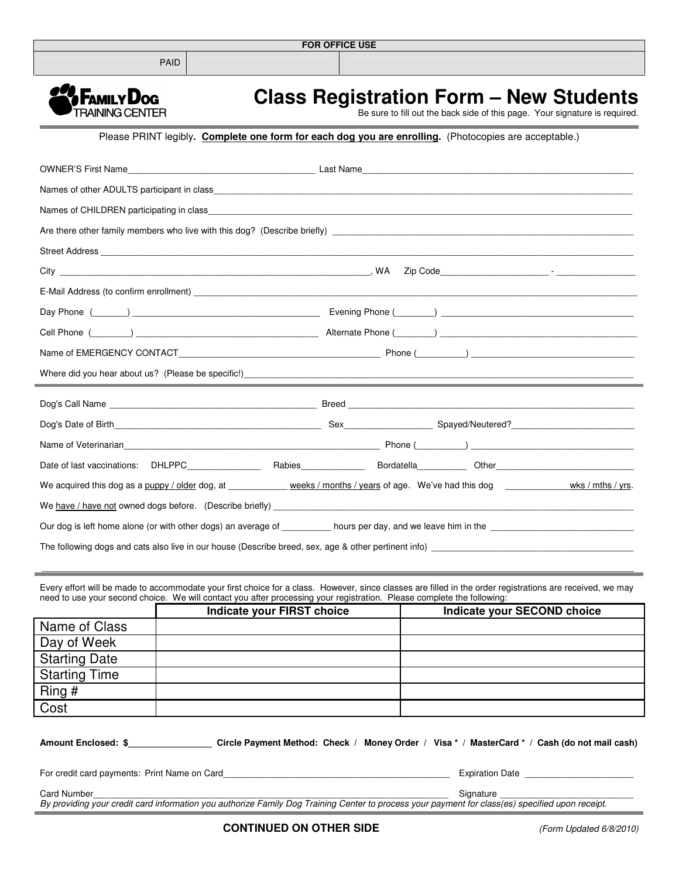

PAID



Î.

## **Class Registration Form – New Students**

Be sure to fill out the back side of this page. Your signature is required.

## Please PRINT legibly**. Complete one form for each dog you are enrolling.** (Photocopies are acceptable.)

|                                                                                                                               | Last Name                                                                                                                                                                                                                      |
|-------------------------------------------------------------------------------------------------------------------------------|--------------------------------------------------------------------------------------------------------------------------------------------------------------------------------------------------------------------------------|
|                                                                                                                               |                                                                                                                                                                                                                                |
|                                                                                                                               |                                                                                                                                                                                                                                |
|                                                                                                                               |                                                                                                                                                                                                                                |
|                                                                                                                               |                                                                                                                                                                                                                                |
|                                                                                                                               |                                                                                                                                                                                                                                |
|                                                                                                                               |                                                                                                                                                                                                                                |
|                                                                                                                               | Day Phone (Changel Communication of the Communication of the Communication of the Communication of the Communication of the Communication of the Communication of the Communication of the Communication of the Communication  |
|                                                                                                                               | Cell Phone (Company Company Company Cell Phone (Company Cell Phone (Company Cell Phone (Company Cell Phone Company Cell Phone Company Cell Phone Company Cell Phone Company Cell Phone Company Cell Phone Company Cell Phone C |
|                                                                                                                               |                                                                                                                                                                                                                                |
|                                                                                                                               |                                                                                                                                                                                                                                |
|                                                                                                                               |                                                                                                                                                                                                                                |
|                                                                                                                               |                                                                                                                                                                                                                                |
|                                                                                                                               |                                                                                                                                                                                                                                |
|                                                                                                                               |                                                                                                                                                                                                                                |
|                                                                                                                               |                                                                                                                                                                                                                                |
| We acquired this dog as a puppy / older dog, at _____________ weeks / months / years of age. We've had this dog _____________ | wks $/$ mths $/$ yrs.                                                                                                                                                                                                          |
|                                                                                                                               |                                                                                                                                                                                                                                |
|                                                                                                                               |                                                                                                                                                                                                                                |

Every effort will be made to accommodate your first choice for a class. However, since classes are filled in the order registrations are received, we may need to use your second choice. We will contact you after processing your registration. Please complete the following:

\_\_\_\_\_\_\_\_\_\_\_\_\_\_\_\_\_\_\_\_\_\_\_\_\_\_\_\_\_\_\_\_\_\_\_\_\_\_\_\_\_\_\_\_\_\_\_\_\_\_\_\_\_\_\_\_\_\_\_\_\_\_\_\_\_\_\_\_\_\_\_\_\_\_\_\_\_\_\_\_\_\_\_\_\_\_\_\_\_\_\_\_\_\_\_\_\_\_\_\_\_\_\_\_\_\_\_\_\_\_\_\_\_\_\_\_\_\_\_\_

|                      | <b>Indicate your FIRST choice</b> | Indicate your SECOND choice |
|----------------------|-----------------------------------|-----------------------------|
| Name of Class        |                                   |                             |
| Day of Week          |                                   |                             |
| <b>Starting Date</b> |                                   |                             |
| <b>Starting Time</b> |                                   |                             |
| Ring #               |                                   |                             |
| Cost                 |                                   |                             |

| <b>Amount Enclosed: \$</b>                   | Circle Payment Method: Check / Money Order / Visa * / MasterCard * / Cash (do not mail cash)                                                                  |  |
|----------------------------------------------|---------------------------------------------------------------------------------------------------------------------------------------------------------------|--|
|                                              |                                                                                                                                                               |  |
| For credit card payments: Print Name on Card | <b>Expiration Date</b>                                                                                                                                        |  |
| <b>Card Number</b>                           | Signature<br>By providing your credit card information you authorize Family Dog Training Center to process your payment for class(es) specified upon receipt. |  |
|                                              |                                                                                                                                                               |  |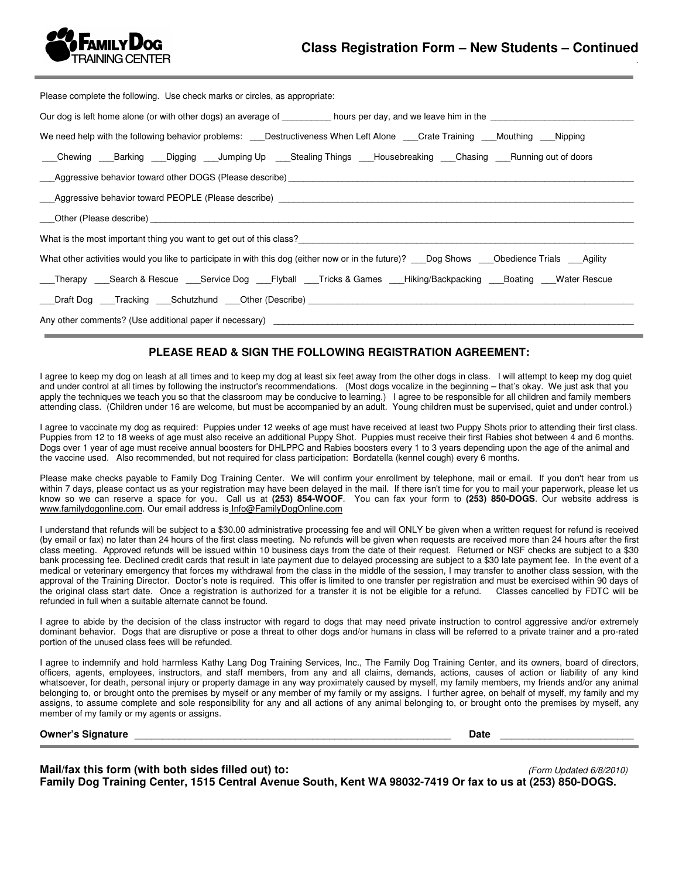

.

| Please complete the following. Use check marks or circles, as appropriate:                                                                                                                                                     |
|--------------------------------------------------------------------------------------------------------------------------------------------------------------------------------------------------------------------------------|
|                                                                                                                                                                                                                                |
| We need help with the following behavior problems: Destructiveness When Left Alone Crate Training Mouthing Nipping                                                                                                             |
| __Chewing ___Barking ___Digging ___Jumping Up ____Stealing Things ___Housebreaking ___Chasing ___Running out of doors                                                                                                          |
| Aggressive behavior toward other DOGS (Please describe) [1994] [2010] Aggressive behavior toward other DOGS (Please describe) [1994] [2010] [2010] [2010] [2010] [2010] [2010] [2010] [2010] [2010] [2010] [2010] [2010] [2010 |
|                                                                                                                                                                                                                                |
| Other (Please describe) expansion of the contract of the contract of the contract of the contract of the contract of the contract of the contract of the contract of the contract of the contract of the contract of the contr |
|                                                                                                                                                                                                                                |
| What is the most important thing you want to get out of this class?                                                                                                                                                            |
| What other activities would you like to participate in with this dog (either now or in the future)? Dog Shows Chedience Trials Agility                                                                                         |
| Therapy ___Search & Rescue ___Service Dog ___Flyball ___Tricks & Games ___Hiking/Backpacking ___Boating ___Water Rescue                                                                                                        |
|                                                                                                                                                                                                                                |

## **PLEASE READ & SIGN THE FOLLOWING REGISTRATION AGREEMENT:**

I agree to keep my dog on leash at all times and to keep my dog at least six feet away from the other dogs in class. I will attempt to keep my dog quiet and under control at all times by following the instructor's recommendations. (Most dogs vocalize in the beginning – that's okay. We just ask that you apply the techniques we teach you so that the classroom may be conducive to learning.) I agree to be responsible for all children and family members attending class. (Children under 16 are welcome, but must be accompanied by an adult. Young children must be supervised, quiet and under control.)

I agree to vaccinate my dog as required: Puppies under 12 weeks of age must have received at least two Puppy Shots prior to attending their first class. Puppies from 12 to 18 weeks of age must also receive an additional Puppy Shot. Puppies must receive their first Rabies shot between 4 and 6 months. Dogs over 1 year of age must receive annual boosters for DHLPPC and Rabies boosters every 1 to 3 years depending upon the age of the animal and the vaccine used. Also recommended, but not required for class participation: Bordatella (kennel cough) every 6 months.

Please make checks payable to Family Dog Training Center. We will confirm your enrollment by telephone, mail or email. If you don't hear from us within 7 days, please contact us as your registration may have been delayed in the mail. If there isn't time for you to mail your paperwork, please let us know so we can reserve a space for you. Call us at **(253) 854-WOOF**. You can fax your form to **(253) 850-DOGS**. Our website address is www.familydogonline.com. Our email address is Info@FamilyDogOnline.com

I understand that refunds will be subject to a \$30.00 administrative processing fee and will ONLY be given when a written request for refund is received (by email or fax) no later than 24 hours of the first class meeting. No refunds will be given when requests are received more than 24 hours after the first class meeting. Approved refunds will be issued within 10 business days from the date of their request. Returned or NSF checks are subject to a \$30 bank processing fee. Declined credit cards that result in late payment due to delayed processing are subject to a \$30 late payment fee. In the event of a medical or veterinary emergency that forces my withdrawal from the class in the middle of the session, I may transfer to another class session, with the approval of the Training Director. Doctor's note is required. This offer is limited to one transfer per registration and must be exercised within 90 days of the original class start date. Once a registration is authorized for a transfer it is not be eligible for a refund. Classes cancelled by FDTC will be refunded in full when a suitable alternate cannot be found.

I agree to abide by the decision of the class instructor with regard to dogs that may need private instruction to control aggressive and/or extremely dominant behavior. Dogs that are disruptive or pose a threat to other dogs and/or humans in class will be referred to a private trainer and a pro-rated portion of the unused class fees will be refunded.

I agree to indemnify and hold harmless Kathy Lang Dog Training Services, Inc., The Family Dog Training Center, and its owners, board of directors, officers, agents, employees, instructors, and staff members, from any and all claims, demands, actions, causes of action or liability of any kind whatsoever, for death, personal injury or property damage in any way proximately caused by myself, my family members, my friends and/or any animal belonging to, or brought onto the premises by myself or any member of my family or my assigns. I further agree, on behalf of myself, my family and my assigns, to assume complete and sole responsibility for any and all actions of any animal belonging to, or brought onto the premises by myself, any member of my family or my agents or assigns.

**Owner's Signature Date 2008** 

**Mail/fax this form (with both sides filled out) to:** (Form Updated 6/8/2010) **Family Dog Training Center, 1515 Central Avenue South, Kent WA 98032-7419 Or fax to us at (253) 850-DOGS.**